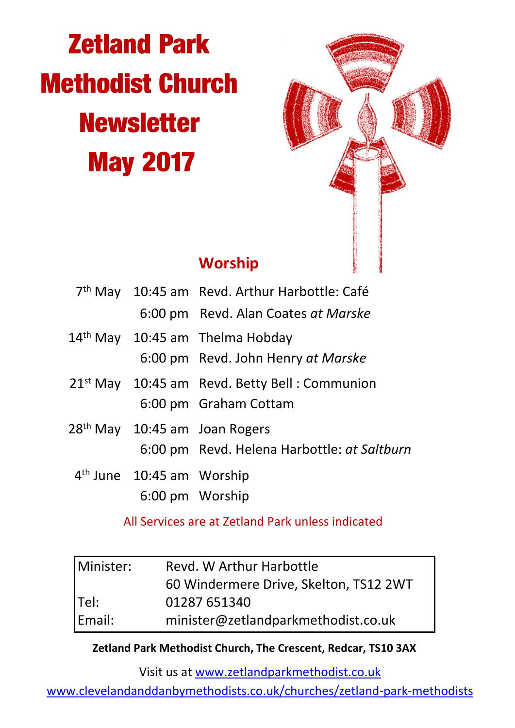# **Zetland Park Methodist Church Newsletter May 2017**



## **Worship**

|                                           | 7 <sup>th</sup> May 10:45 am Revd. Arthur Harbottle: Café |  |
|-------------------------------------------|-----------------------------------------------------------|--|
|                                           | 6:00 pm Revd. Alan Coates at Marske                       |  |
|                                           | 14 <sup>th</sup> May 10:45 am Thelma Hobday               |  |
|                                           | 6:00 pm Revd. John Henry at Marske                        |  |
|                                           | 21 <sup>st</sup> May 10:45 am Revd. Betty Bell: Communion |  |
|                                           | 6:00 pm Graham Cottam                                     |  |
| 28 <sup>th</sup> May 10:45 am Joan Rogers |                                                           |  |
|                                           | 6:00 pm Revd. Helena Harbottle: at Saltburn               |  |
| 4 <sup>th</sup> June 10:45 am Worship     |                                                           |  |
|                                           | 6:00 pm Worship                                           |  |

All Services are at Zetland Park unless indicated

| Minister: | Revd. W Arthur Harbottle               |  |
|-----------|----------------------------------------|--|
|           | 60 Windermere Drive, Skelton, TS12 2WT |  |
| Tel:      | 01287 651340                           |  |
| Email:    | minister@zetlandparkmethodist.co.uk    |  |

#### **Zetland Park Methodist Church, The Crescent, Redcar, TS10 3AX**

Visit us at www.zetlandparkmethodist.co.uk

www.clevelandanddanbymethodists.co.uk/churches/zetland-park-methodists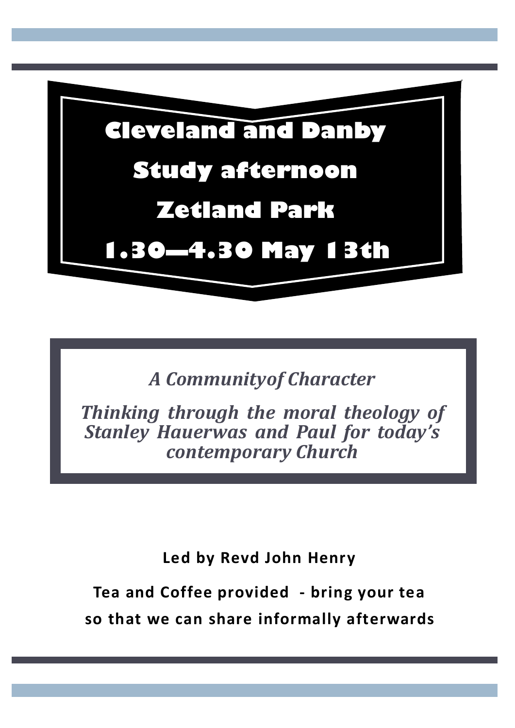

*A Communityof Character*

*Thinking through the moral theology of Stanley Hauerwas and Paul for today's contemporary Church*

**Led by Revd John Henry**

**Tea and Coffee provided - bring your tea so that we can share informally afterwards**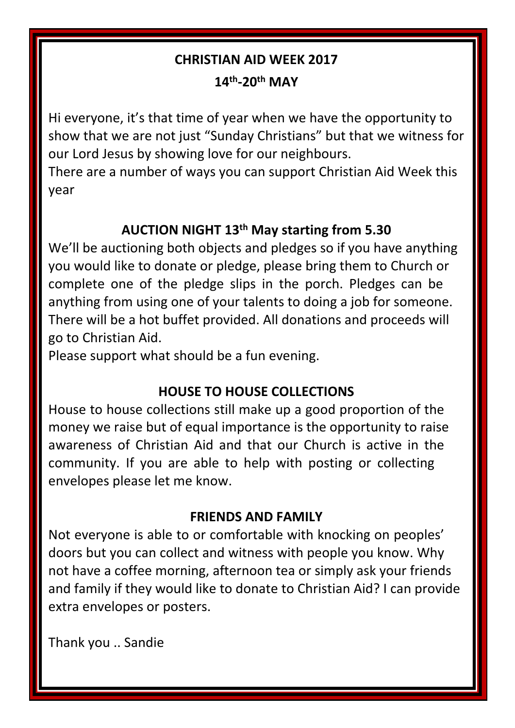## **CHRISTIAN AID WEEK 2017**

**14th-20th MAY**

Hi everyone, it's that time of year when we have the opportunity to show that we are not just "Sunday Christians" but that we witness for our Lord Jesus by showing love for our neighbours.

There are a number of ways you can support Christian Aid Week this year

## **AUCTION NIGHT 13th May starting from 5.30**

We'll be auctioning both objects and pledges so if you have anything you would like to donate or pledge, please bring them to Church or complete one of the pledge slips in the porch. Pledges can be anything from using one of your talents to doing a job for someone. There will be a hot buffet provided. All donations and proceeds will go to Christian Aid.

Please support what should be a fun evening.

## **HOUSE TO HOUSE COLLECTIONS**

House to house collections still make up a good proportion of the money we raise but of equal importance is the opportunity to raise awareness of Christian Aid and that our Church is active in the community. If you are able to help with posting or collecting envelopes please let me know.

## **FRIENDS AND FAMILY**

Not everyone is able to or comfortable with knocking on peoples' doors but you can collect and witness with people you know. Why not have a coffee morning, afternoon tea or simply ask your friends and family if they would like to donate to Christian Aid? I can provide extra envelopes or posters.

Thank you .. Sandie